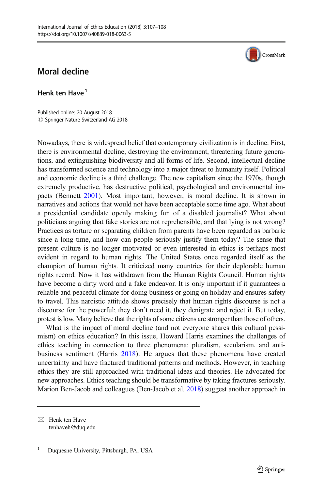

## Moral decline

## Henk ten Have<sup>1</sup>

Published online: 20 August 2018  $\circled{c}$  Springer Nature Switzerland AG 2018

Nowadays, there is widespread belief that contemporary civilization is in decline. First, there is environmental decline, destroying the environment, threatening future generations, and extinguishing biodiversity and all forms of life. Second, intellectual decline has transformed science and technology into a major threat to humanity itself. Political and economic decline is a third challenge. The new capitalism since the 1970s, though extremely productive, has destructive political, psychological and environmental impacts (Bennett [2001\)](#page-1-0). Most important, however, is moral decline. It is shown in narratives and actions that would not have been acceptable some time ago. What about a presidential candidate openly making fun of a disabled journalist? What about politicians arguing that fake stories are not reprehensible, and that lying is not wrong? Practices as torture or separating children from parents have been regarded as barbaric since a long time, and how can people seriously justify them today? The sense that present culture is no longer motivated or even interested in ethics is perhaps most evident in regard to human rights. The United States once regarded itself as the champion of human rights. It criticized many countries for their deplorable human rights record. Now it has withdrawn from the Human Rights Council. Human rights have become a dirty word and a fake endeavor. It is only important if it guarantees a reliable and peaceful climate for doing business or going on holiday and ensures safety to travel. This narcistic attitude shows precisely that human rights discourse is not a discourse for the powerful; they don't need it, they denigrate and reject it. But today, protest is low. Many believe that the rights of some citizens are stronger than those of others.

What is the impact of moral decline (and not everyone shares this cultural pessimism) on ethics education? In this issue, Howard Harris examines the challenges of ethics teaching in connection to three phenomena: pluralism, secularism, and antibusiness sentiment (Harris [2018\)](#page-1-0). He argues that these phenomena have created uncertainty and have fractured traditional patterns and methods. However, in teaching ethics they are still approached with traditional ideas and theories. He advocated for new approaches. Ethics teaching should be transformative by taking fractures seriously. Marion Ben-Jacob and colleagues (Ben-Jacob et al. [2018\)](#page-1-0) suggest another approach in

 $\boxtimes$  Henk ten Have [tenhaveh@duq.edu](mailto:tenhaveh@duq.edu)

<sup>&</sup>lt;sup>1</sup> Duquesne University, Pittsburgh, PA, USA